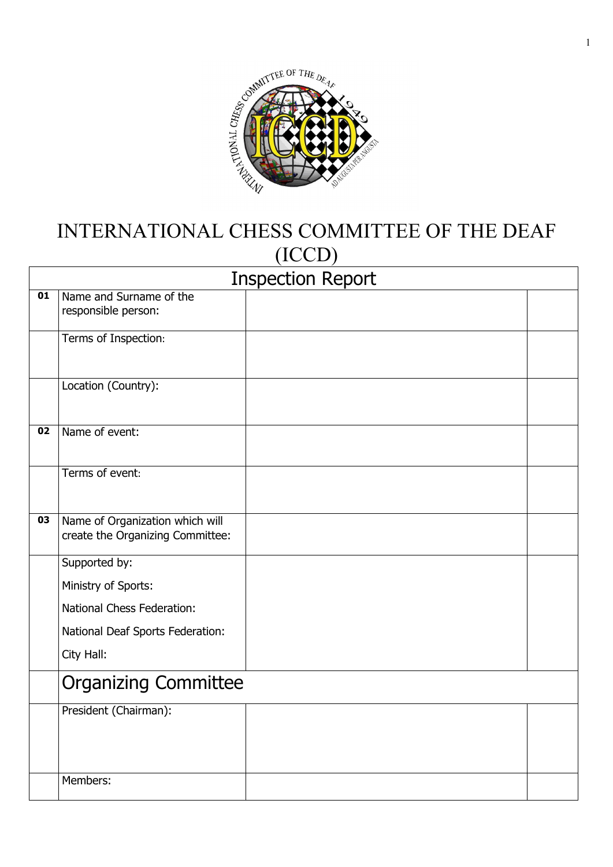

## INTERNATIONAL CHESS COMMITTEE OF THE DEAF (ICCD)

|                 | <b>Inspection Report</b>                                            |  |  |
|-----------------|---------------------------------------------------------------------|--|--|
| 01              | Name and Surname of the<br>responsible person:                      |  |  |
|                 | Terms of Inspection:                                                |  |  |
|                 | Location (Country):                                                 |  |  |
| $\overline{02}$ | Name of event:                                                      |  |  |
|                 | Terms of event:                                                     |  |  |
| 03              | Name of Organization which will<br>create the Organizing Committee: |  |  |
|                 | Supported by:                                                       |  |  |
|                 | Ministry of Sports:                                                 |  |  |
|                 | National Chess Federation:                                          |  |  |
|                 | National Deaf Sports Federation:                                    |  |  |
|                 | City Hall:                                                          |  |  |
|                 | <b>Organizing Committee</b>                                         |  |  |
|                 | President (Chairman):                                               |  |  |
|                 |                                                                     |  |  |
|                 |                                                                     |  |  |
|                 | Members:                                                            |  |  |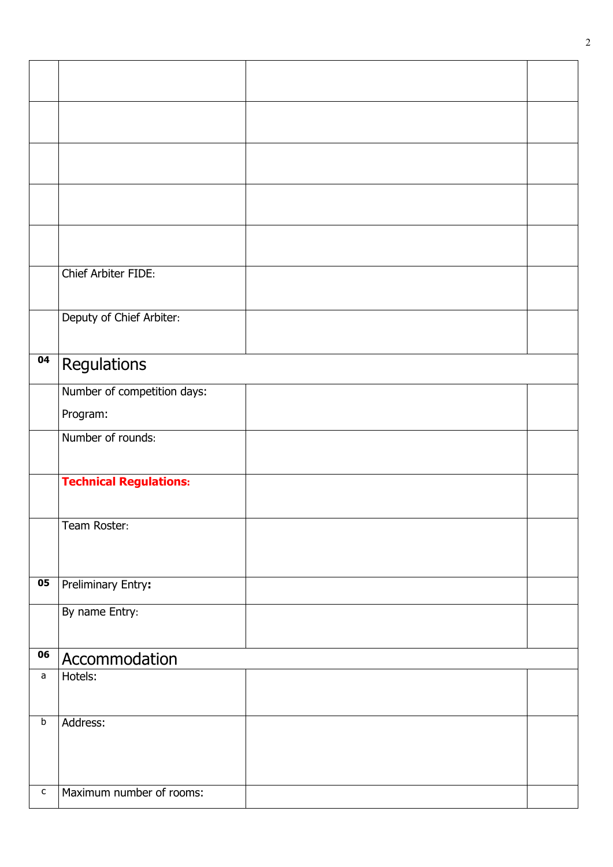|                                              | Chief Arbiter FIDE:           |  |
|----------------------------------------------|-------------------------------|--|
|                                              |                               |  |
|                                              | Deputy of Chief Arbiter:      |  |
|                                              |                               |  |
| 04                                           | Regulations                   |  |
|                                              | Number of competition days:   |  |
|                                              | Program:                      |  |
|                                              | Number of rounds:             |  |
|                                              |                               |  |
|                                              | <b>Technical Regulations:</b> |  |
|                                              |                               |  |
|                                              | Team Roster:                  |  |
|                                              |                               |  |
| $\overline{\overline{\mathbf{0}}\mathbf{5}}$ |                               |  |
|                                              | <b>Preliminary Entry:</b>     |  |
|                                              | By name Entry:                |  |
|                                              |                               |  |
| 06                                           | Accommodation                 |  |
| $\mathsf{a}$                                 | Hotels:                       |  |
|                                              |                               |  |
| $\sf b$                                      | Address:                      |  |
|                                              |                               |  |
|                                              |                               |  |
| С                                            | Maximum number of rooms:      |  |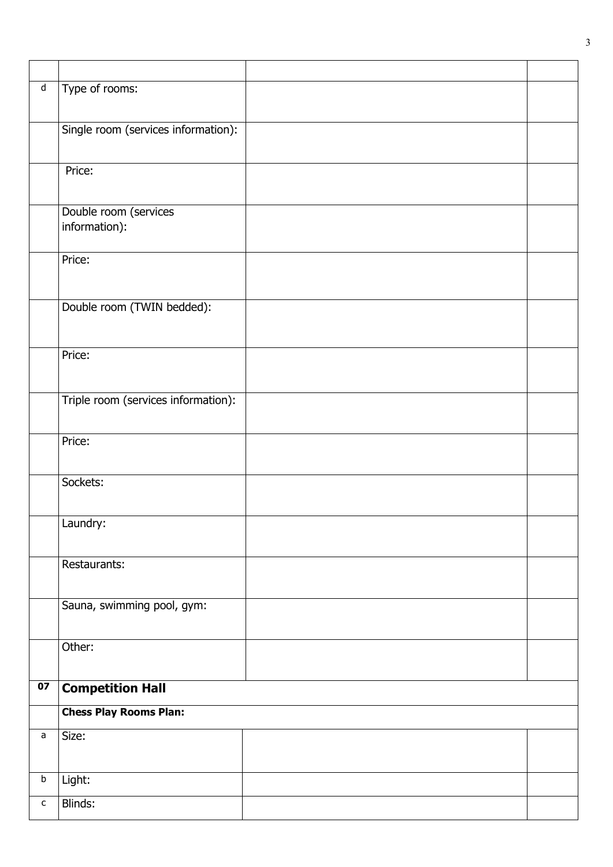| $\overline{\mathsf{d}}$ | Type of rooms:                      |  |
|-------------------------|-------------------------------------|--|
|                         |                                     |  |
|                         | Single room (services information): |  |
|                         |                                     |  |
|                         | Price:                              |  |
|                         |                                     |  |
|                         | Double room (services               |  |
|                         | information):                       |  |
|                         | Price:                              |  |
|                         |                                     |  |
|                         |                                     |  |
|                         | Double room (TWIN bedded):          |  |
|                         |                                     |  |
|                         | Price:                              |  |
|                         |                                     |  |
|                         | Triple room (services information): |  |
|                         |                                     |  |
|                         | Price:                              |  |
|                         |                                     |  |
|                         | Sockets:                            |  |
|                         |                                     |  |
|                         | Laundry:                            |  |
|                         |                                     |  |
|                         | Restaurants:                        |  |
|                         |                                     |  |
|                         | Sauna, swimming pool, gym:          |  |
|                         |                                     |  |
|                         | Other:                              |  |
|                         |                                     |  |
| 07                      | <b>Competition Hall</b>             |  |
|                         | <b>Chess Play Rooms Plan:</b>       |  |
| a                       | Size:                               |  |
|                         |                                     |  |
| $\mathsf b$             | Light:                              |  |
|                         |                                     |  |
| $\mathsf{C}$            | Blinds:                             |  |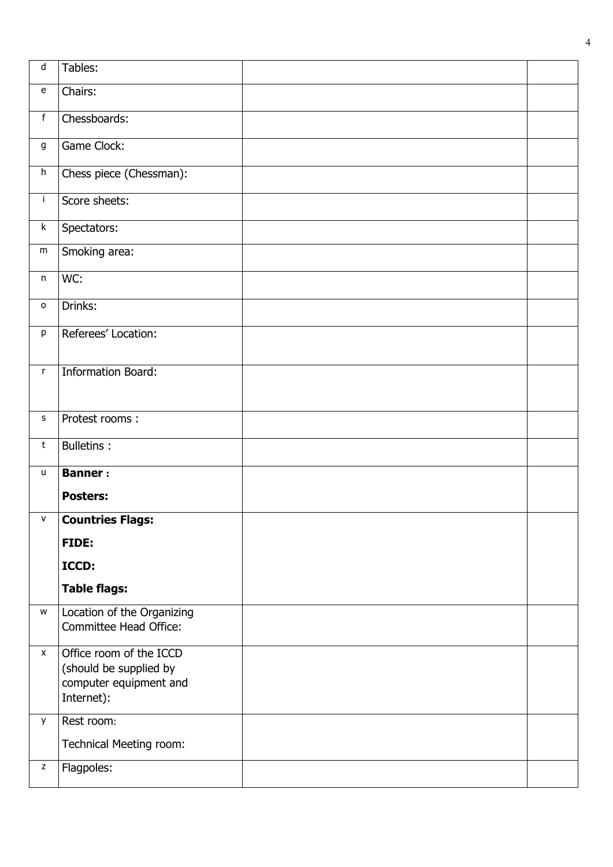| $\sf d$                                             | Tables:                                                                                   |  |
|-----------------------------------------------------|-------------------------------------------------------------------------------------------|--|
| ${\bf e}$                                           | Chairs:                                                                                   |  |
| $\mathsf f$                                         | Chessboards:                                                                              |  |
| g                                                   | Game Clock:                                                                               |  |
| $\boldsymbol{\mathsf{h}}$                           | Chess piece (Chessman):                                                                   |  |
| j.                                                  | Score sheets:                                                                             |  |
| $\sf k$                                             | Spectators:                                                                               |  |
| ${\sf m}$                                           | Smoking area:                                                                             |  |
| n                                                   | WC:                                                                                       |  |
| $\mathsf{o}$                                        | Drinks:                                                                                   |  |
| p                                                   | Referees' Location:                                                                       |  |
| r                                                   | <b>Information Board:</b>                                                                 |  |
|                                                     |                                                                                           |  |
| s                                                   | Protest rooms:                                                                            |  |
| $\sf t$                                             | <b>Bulletins:</b>                                                                         |  |
| u                                                   | <b>Banner:</b>                                                                            |  |
|                                                     | <b>Posters:</b>                                                                           |  |
| $\mathbf{V}$                                        | <b>Countries Flags:</b>                                                                   |  |
|                                                     | FIDE:                                                                                     |  |
|                                                     | ICCD:                                                                                     |  |
|                                                     | <b>Table flags:</b>                                                                       |  |
| W                                                   | Location of the Organizing<br>Committee Head Office:                                      |  |
| $\pmb{\mathsf{X}}$                                  | Office room of the ICCD<br>(should be supplied by<br>computer equipment and<br>Internet): |  |
| y                                                   | Rest room:                                                                                |  |
|                                                     | Technical Meeting room:                                                                   |  |
| $\mathsf{Z}% _{0}^{\prime}=\mathsf{Z}_{0}^{\prime}$ | Flagpoles:                                                                                |  |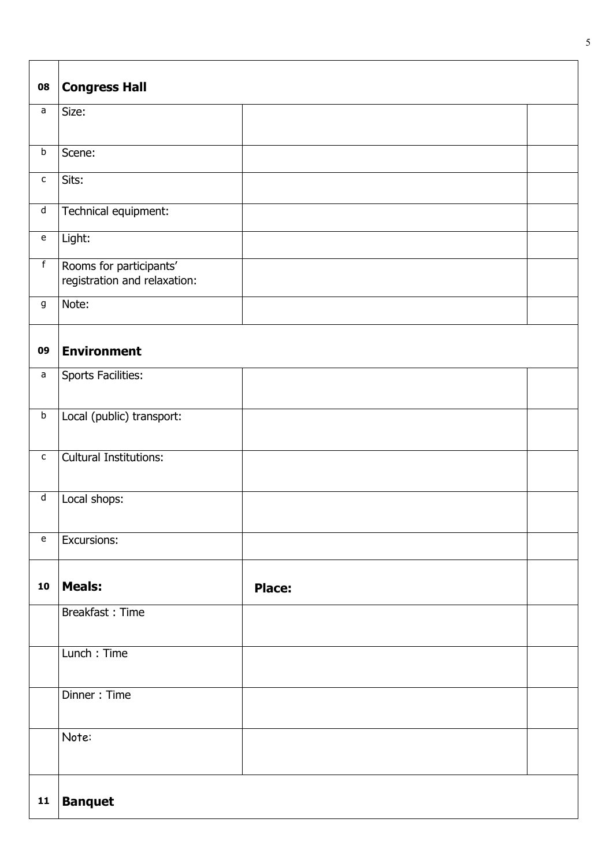| 08                                | <b>Congress Hall</b>                                    |  |
|-----------------------------------|---------------------------------------------------------|--|
| a                                 | Size:                                                   |  |
| $\sf b$                           | Scene:                                                  |  |
| $\mathsf{C}$                      | Sits:                                                   |  |
| $\operatorname{\mathsf{d}}$       | Technical equipment:                                    |  |
| $\mathsf{e}% _{t}\left( t\right)$ | Light:                                                  |  |
| $\overline{f}$                    | Rooms for participants'<br>registration and relaxation: |  |
| g                                 | Note:                                                   |  |
| 09                                | <b>Environment</b>                                      |  |
| a                                 | <b>Sports Facilities:</b>                               |  |
| $\sf b$                           | Local (public) transport:                               |  |
| $\mathsf{C}$                      | <b>Cultural Institutions:</b>                           |  |
| $\operatorname{\mathsf{d}}$       | Local shops:                                            |  |
| $\mathsf{e}% _{t}\left( t\right)$ | Excursions:                                             |  |
| 10                                | <b>Meals:</b><br><b>Place:</b>                          |  |
|                                   | Breakfast: Time                                         |  |
|                                   | Lunch: Time                                             |  |
|                                   | Dinner: Time                                            |  |
|                                   | Note:                                                   |  |
| $\mathbf{11}$                     | <b>Banquet</b>                                          |  |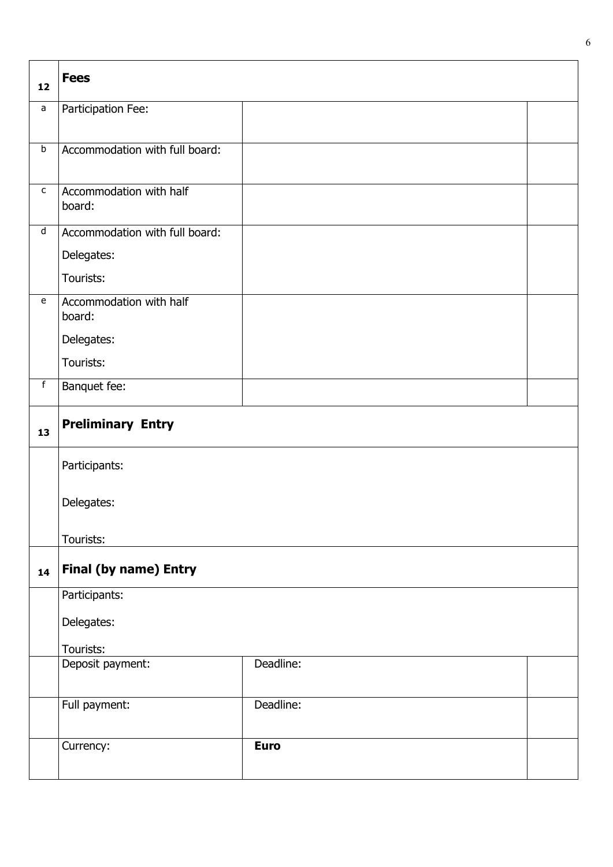| 12                                | <b>Fees</b>                       |             |  |
|-----------------------------------|-----------------------------------|-------------|--|
| a                                 | Participation Fee:                |             |  |
| $\sf b$                           | Accommodation with full board:    |             |  |
| $\mathsf{C}$                      | Accommodation with half<br>board: |             |  |
| d                                 | Accommodation with full board:    |             |  |
|                                   | Delegates:                        |             |  |
|                                   | Tourists:                         |             |  |
| $\mathsf{e}% _{t}\left( t\right)$ | Accommodation with half<br>board: |             |  |
|                                   | Delegates:                        |             |  |
|                                   | Tourists:                         |             |  |
| $\overline{f}$                    | Banquet fee:                      |             |  |
| 13                                | <b>Preliminary Entry</b>          |             |  |
|                                   | Participants:                     |             |  |
|                                   | Delegates:                        |             |  |
|                                   | Tourists:                         |             |  |
| 14                                | <b>Final (by name) Entry</b>      |             |  |
|                                   | Participants:                     |             |  |
|                                   | Delegates:                        |             |  |
|                                   | Tourists:                         |             |  |
|                                   | Deposit payment:                  | Deadline:   |  |
|                                   | Full payment:                     | Deadline:   |  |
|                                   | Currency:                         | <b>Euro</b> |  |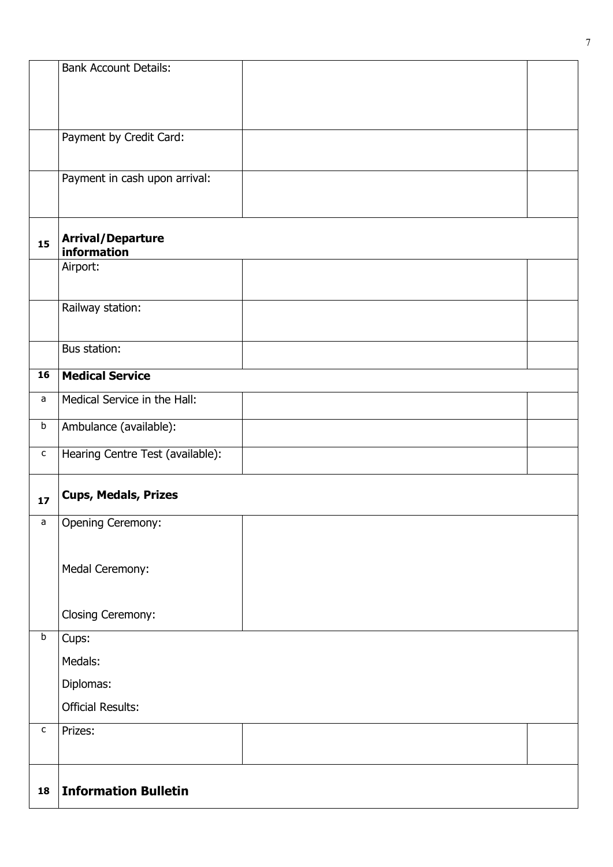|              | <b>Bank Account Details:</b>     |  |
|--------------|----------------------------------|--|
|              |                                  |  |
|              |                                  |  |
|              |                                  |  |
|              | Payment by Credit Card:          |  |
|              |                                  |  |
|              |                                  |  |
|              | Payment in cash upon arrival:    |  |
|              |                                  |  |
|              |                                  |  |
| 15           | <b>Arrival/Departure</b>         |  |
|              | information                      |  |
|              | Airport:                         |  |
|              |                                  |  |
|              | Railway station:                 |  |
|              |                                  |  |
|              | Bus station:                     |  |
|              |                                  |  |
| 16           | <b>Medical Service</b>           |  |
| a            | Medical Service in the Hall:     |  |
|              |                                  |  |
| $\sf b$      | Ambulance (available):           |  |
| $\mathsf{C}$ | Hearing Centre Test (available): |  |
|              |                                  |  |
|              | <b>Cups, Medals, Prizes</b>      |  |
| 17           |                                  |  |
| a            | <b>Opening Ceremony:</b>         |  |
|              |                                  |  |
|              |                                  |  |
|              | Medal Ceremony:                  |  |
|              |                                  |  |
|              | Closing Ceremony:                |  |
| $\sf b$      |                                  |  |
|              | Cups:                            |  |
|              | Medals:                          |  |
|              | Diplomas:                        |  |
|              | <b>Official Results:</b>         |  |
|              |                                  |  |
| $\mathsf{C}$ | Prizes:                          |  |
|              |                                  |  |
|              |                                  |  |
| 18           | <b>Information Bulletin</b>      |  |
|              |                                  |  |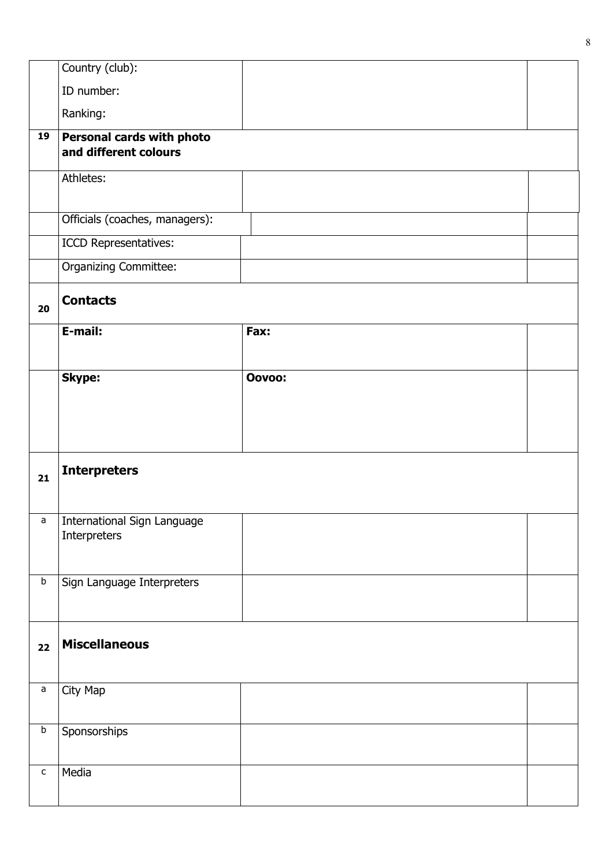|              | Country (club):                                    |        |  |
|--------------|----------------------------------------------------|--------|--|
|              | ID number:                                         |        |  |
|              | Ranking:                                           |        |  |
| 19           | Personal cards with photo<br>and different colours |        |  |
|              | Athletes:                                          |        |  |
|              | Officials (coaches, managers):                     |        |  |
|              | ICCD Representatives:                              |        |  |
|              | <b>Organizing Committee:</b>                       |        |  |
| 20           | <b>Contacts</b>                                    |        |  |
|              | E-mail:                                            | Fax:   |  |
|              | <b>Skype:</b>                                      | Oovoo: |  |
|              |                                                    |        |  |
|              |                                                    |        |  |
|              |                                                    |        |  |
| 21           | <b>Interpreters</b>                                |        |  |
|              |                                                    |        |  |
| a            | International Sign Language                        |        |  |
|              | Interpreters                                       |        |  |
|              |                                                    |        |  |
| $\sf b$      | Sign Language Interpreters                         |        |  |
|              |                                                    |        |  |
| 22           | <b>Miscellaneous</b>                               |        |  |
|              |                                                    |        |  |
| $\mathsf a$  |                                                    |        |  |
|              | City Map                                           |        |  |
|              |                                                    |        |  |
| $\sf b$      | Sponsorships                                       |        |  |
|              |                                                    |        |  |
| $\mathsf{C}$ | Media                                              |        |  |